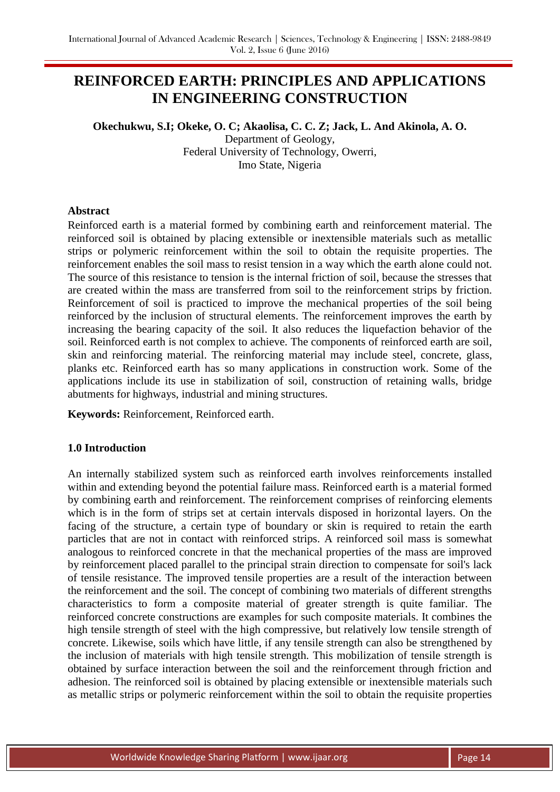# **REINFORCED EARTH: PRINCIPLES AND APPLICATIONS IN ENGINEERING CONSTRUCTION**

# **Okechukwu, S.I; Okeke, O. C; Akaolisa, C. C. Z; Jack, L. And Akinola, A. O.** Department of Geology, Federal University of Technology, Owerri, Imo State, Nigeria

#### **Abstract**

Reinforced earth is a material formed by combining earth and reinforcement material. The reinforced soil is obtained by placing extensible or inextensible materials such as metallic strips or polymeric reinforcement within the soil to obtain the requisite properties. The reinforcement enables the soil mass to resist tension in a way which the earth alone could not. The source of this resistance to tension is the internal friction of soil, because the stresses that are created within the mass are transferred from soil to the reinforcement strips by friction. Reinforcement of soil is practiced to improve the mechanical properties of the soil being reinforced by the inclusion of structural elements. The reinforcement improves the earth by increasing the bearing capacity of the soil. It also reduces the liquefaction behavior of the soil. Reinforced earth is not complex to achieve. The components of reinforced earth are soil, skin and reinforcing material. The reinforcing material may include steel, concrete, glass, planks etc. Reinforced earth has so many applications in construction work. Some of the applications include its use in stabilization of soil, construction of retaining walls, bridge abutments for highways, industrial and mining structures.

**Keywords:** Reinforcement, Reinforced earth.

### **1.0 Introduction**

An internally stabilized system such as reinforced earth involves reinforcements installed within and extending beyond the potential failure mass. Reinforced earth is a material formed by combining earth and reinforcement. The reinforcement comprises of reinforcing elements which is in the form of strips set at certain intervals disposed in horizontal layers. On the facing of the structure, a certain type of boundary or skin is required to retain the earth particles that are not in contact with reinforced strips. A reinforced soil mass is somewhat analogous to reinforced concrete in that the mechanical properties of the mass are improved by reinforcement placed parallel to the principal strain direction to compensate for soil's lack of tensile resistance. The improved tensile properties are a result of the interaction between the reinforcement and the soil. The concept of combining two materials of different strengths characteristics to form a composite material of greater strength is quite familiar. The reinforced concrete constructions are examples for such composite materials. It combines the high tensile strength of steel with the high compressive, but relatively low tensile strength of concrete. Likewise, soils which have little, if any tensile strength can also be strengthened by the inclusion of materials with high tensile strength. This mobilization of tensile strength is obtained by surface interaction between the soil and the reinforcement through friction and adhesion. The reinforced soil is obtained by placing extensible or inextensible materials such as metallic strips or polymeric reinforcement within the soil to obtain the requisite properties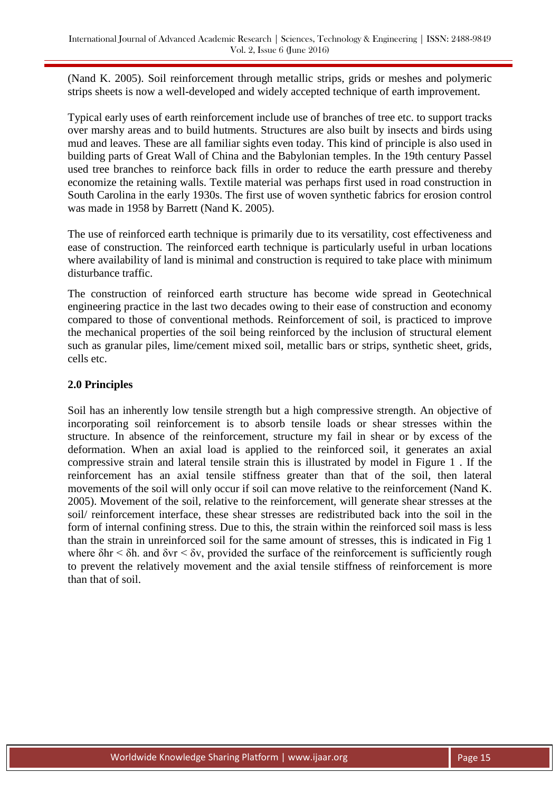(Nand K. 2005). Soil reinforcement through metallic strips, grids or meshes and polymeric strips sheets is now a well-developed and widely accepted technique of earth improvement.

Typical early uses of earth reinforcement include use of branches of tree etc. to support tracks over marshy areas and to build hutments. Structures are also built by insects and birds using mud and leaves. These are all familiar sights even today. This kind of principle is also used in building parts of Great Wall of China and the Babylonian temples. In the 19th century Passel used tree branches to reinforce back fills in order to reduce the earth pressure and thereby economize the retaining walls. Textile material was perhaps first used in road construction in South Carolina in the early 1930s. The first use of woven synthetic fabrics for erosion control was made in 1958 by Barrett (Nand K. 2005).

The use of reinforced earth technique is primarily due to its versatility, cost effectiveness and ease of construction. The reinforced earth technique is particularly useful in urban locations where availability of land is minimal and construction is required to take place with minimum disturbance traffic.

The construction of reinforced earth structure has become wide spread in Geotechnical engineering practice in the last two decades owing to their ease of construction and economy compared to those of conventional methods. Reinforcement of soil, is practiced to improve the mechanical properties of the soil being reinforced by the inclusion of structural element such as granular piles, lime/cement mixed soil, metallic bars or strips, synthetic sheet, grids, cells etc.

# **2.0 Principles**

Soil has an inherently low tensile strength but a high compressive strength. An objective of incorporating soil reinforcement is to absorb tensile loads or shear stresses within the structure. In absence of the reinforcement, structure my fail in shear or by excess of the deformation. When an axial load is applied to the reinforced soil, it generates an axial compressive strain and lateral tensile strain this is illustrated by model in Figure 1 . If the reinforcement has an axial tensile stiffness greater than that of the soil, then lateral movements of the soil will only occur if soil can move relative to the reinforcement (Nand K. 2005). Movement of the soil, relative to the reinforcement, will generate shear stresses at the soil/ reinforcement interface, these shear stresses are redistributed back into the soil in the form of internal confining stress. Due to this, the strain within the reinforced soil mass is less than the strain in unreinforced soil for the same amount of stresses, this is indicated in Fig 1 where  $\delta$ hr <  $\delta$ h, and  $\delta$ vr <  $\delta$ v, provided the surface of the reinforcement is sufficiently rough to prevent the relatively movement and the axial tensile stiffness of reinforcement is more than that of soil.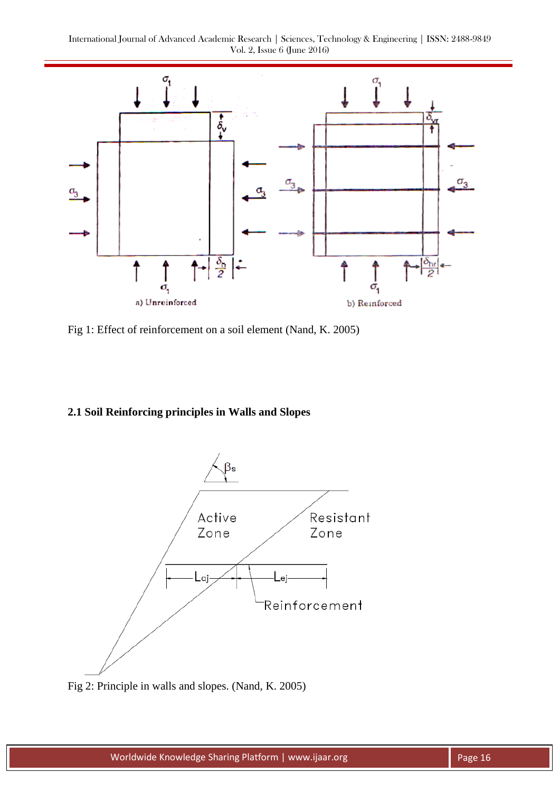

Fig 1: Effect of reinforcement on a soil element (Nand, K. 2005)

# **2.1 Soil Reinforcing principles in Walls and Slopes**



Fig 2: Principle in walls and slopes. (Nand, K. 2005)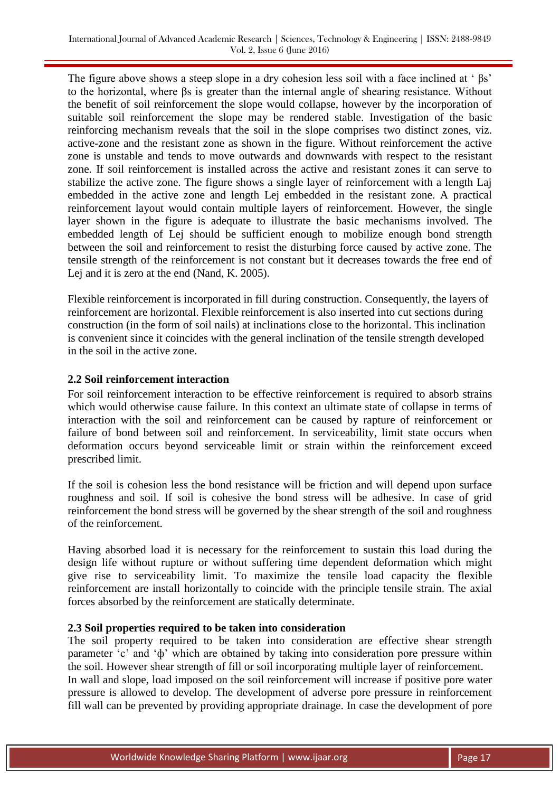The figure above shows a steep slope in a dry cohesion less soil with a face inclined at ' βs' to the horizontal, where βs is greater than the internal angle of shearing resistance. Without the benefit of soil reinforcement the slope would collapse, however by the incorporation of suitable soil reinforcement the slope may be rendered stable. Investigation of the basic reinforcing mechanism reveals that the soil in the slope comprises two distinct zones, viz. active-zone and the resistant zone as shown in the figure. Without reinforcement the active zone is unstable and tends to move outwards and downwards with respect to the resistant zone. If soil reinforcement is installed across the active and resistant zones it can serve to stabilize the active zone. The figure shows a single layer of reinforcement with a length Laj embedded in the active zone and length Lej embedded in the resistant zone. A practical reinforcement layout would contain multiple layers of reinforcement. However, the single layer shown in the figure is adequate to illustrate the basic mechanisms involved. The embedded length of Lej should be sufficient enough to mobilize enough bond strength between the soil and reinforcement to resist the disturbing force caused by active zone. The tensile strength of the reinforcement is not constant but it decreases towards the free end of Lej and it is zero at the end (Nand, K. 2005).

Flexible reinforcement is incorporated in fill during construction. Consequently, the layers of reinforcement are horizontal. Flexible reinforcement is also inserted into cut sections during construction (in the form of soil nails) at inclinations close to the horizontal. This inclination is convenient since it coincides with the general inclination of the tensile strength developed in the soil in the active zone.

## **2.2 Soil reinforcement interaction**

For soil reinforcement interaction to be effective reinforcement is required to absorb strains which would otherwise cause failure. In this context an ultimate state of collapse in terms of interaction with the soil and reinforcement can be caused by rapture of reinforcement or failure of bond between soil and reinforcement. In serviceability, limit state occurs when deformation occurs beyond serviceable limit or strain within the reinforcement exceed prescribed limit.

If the soil is cohesion less the bond resistance will be friction and will depend upon surface roughness and soil. If soil is cohesive the bond stress will be adhesive. In case of grid reinforcement the bond stress will be governed by the shear strength of the soil and roughness of the reinforcement.

Having absorbed load it is necessary for the reinforcement to sustain this load during the design life without rupture or without suffering time dependent deformation which might give rise to serviceability limit. To maximize the tensile load capacity the flexible reinforcement are install horizontally to coincide with the principle tensile strain. The axial forces absorbed by the reinforcement are statically determinate.

### **2.3 Soil properties required to be taken into consideration**

The soil property required to be taken into consideration are effective shear strength parameter "c" and "ф" which are obtained by taking into consideration pore pressure within the soil. However shear strength of fill or soil incorporating multiple layer of reinforcement. In wall and slope, load imposed on the soil reinforcement will increase if positive pore water pressure is allowed to develop. The development of adverse pore pressure in reinforcement fill wall can be prevented by providing appropriate drainage. In case the development of pore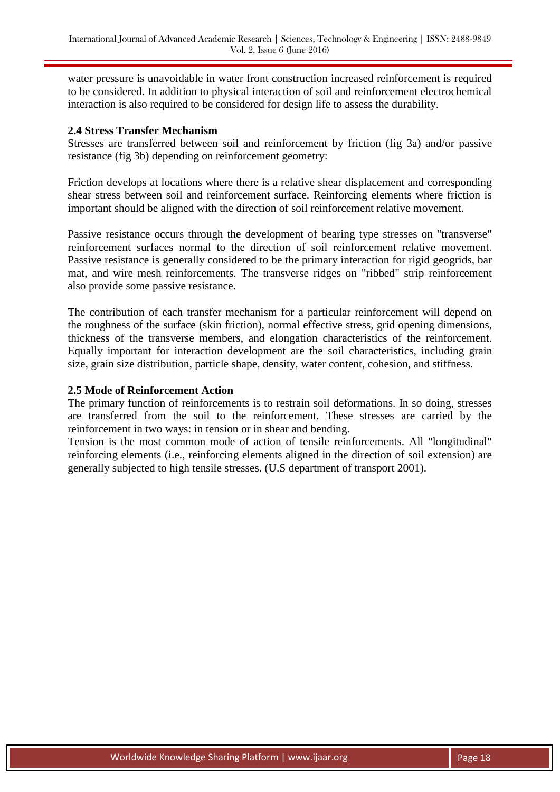water pressure is unavoidable in water front construction increased reinforcement is required to be considered. In addition to physical interaction of soil and reinforcement electrochemical interaction is also required to be considered for design life to assess the durability.

#### **2.4 Stress Transfer Mechanism**

Stresses are transferred between soil and reinforcement by friction (fig 3a) and/or passive resistance (fig 3b) depending on reinforcement geometry:

Friction develops at locations where there is a relative shear displacement and corresponding shear stress between soil and reinforcement surface. Reinforcing elements where friction is important should be aligned with the direction of soil reinforcement relative movement.

Passive resistance occurs through the development of bearing type stresses on "transverse" reinforcement surfaces normal to the direction of soil reinforcement relative movement. Passive resistance is generally considered to be the primary interaction for rigid geogrids, bar mat, and wire mesh reinforcements. The transverse ridges on "ribbed" strip reinforcement also provide some passive resistance.

The contribution of each transfer mechanism for a particular reinforcement will depend on the roughness of the surface (skin friction), normal effective stress, grid opening dimensions, thickness of the transverse members, and elongation characteristics of the reinforcement. Equally important for interaction development are the soil characteristics, including grain size, grain size distribution, particle shape, density, water content, cohesion, and stiffness.

#### **2.5 Mode of Reinforcement Action**

The primary function of reinforcements is to restrain soil deformations. In so doing, stresses are transferred from the soil to the reinforcement. These stresses are carried by the reinforcement in two ways: in tension or in shear and bending.

Tension is the most common mode of action of tensile reinforcements. All "longitudinal" reinforcing elements (i.e., reinforcing elements aligned in the direction of soil extension) are generally subjected to high tensile stresses. (U.S department of transport 2001).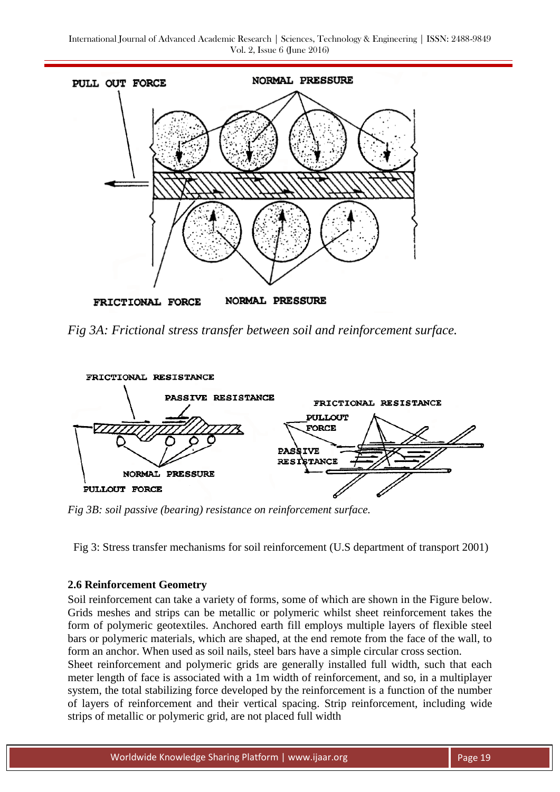

*Fig 3A: Frictional stress transfer between soil and reinforcement surface.*



*Fig 3B: soil passive (bearing) resistance on reinforcement surface.*

Fig 3: Stress transfer mechanisms for soil reinforcement (U.S department of transport 2001)

# **2.6 Reinforcement Geometry**

Soil reinforcement can take a variety of forms, some of which are shown in the Figure below. Grids meshes and strips can be metallic or polymeric whilst sheet reinforcement takes the form of polymeric geotextiles. Anchored earth fill employs multiple layers of flexible steel bars or polymeric materials, which are shaped, at the end remote from the face of the wall, to form an anchor. When used as soil nails, steel bars have a simple circular cross section.

Sheet reinforcement and polymeric grids are generally installed full width, such that each meter length of face is associated with a 1m width of reinforcement, and so, in a multiplayer system, the total stabilizing force developed by the reinforcement is a function of the number of layers of reinforcement and their vertical spacing. Strip reinforcement, including wide strips of metallic or polymeric grid, are not placed full width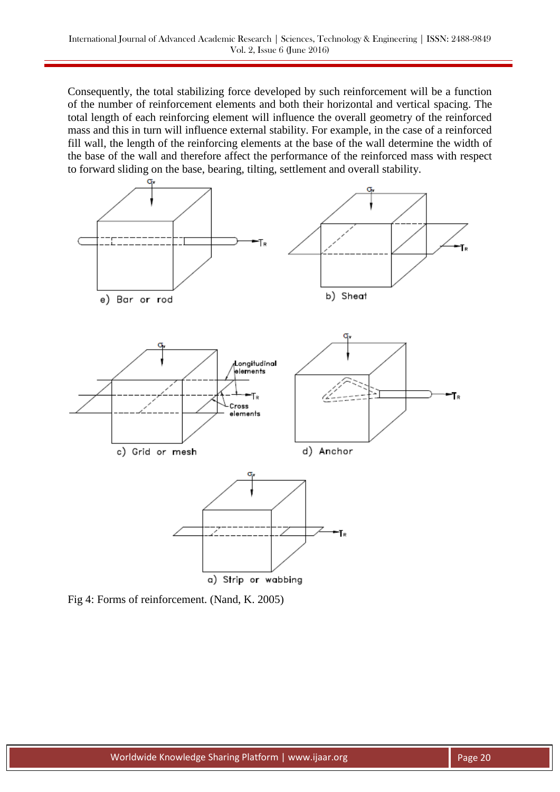Consequently, the total stabilizing force developed by such reinforcement will be a function of the number of reinforcement elements and both their horizontal and vertical spacing. The total length of each reinforcing element will influence the overall geometry of the reinforced mass and this in turn will influence external stability. For example, in the case of a reinforced fill wall, the length of the reinforcing elements at the base of the wall determine the width of the base of the wall and therefore affect the performance of the reinforced mass with respect to forward sliding on the base, bearing, tilting, settlement and overall stability.



Fig 4: Forms of reinforcement. (Nand, K. 2005)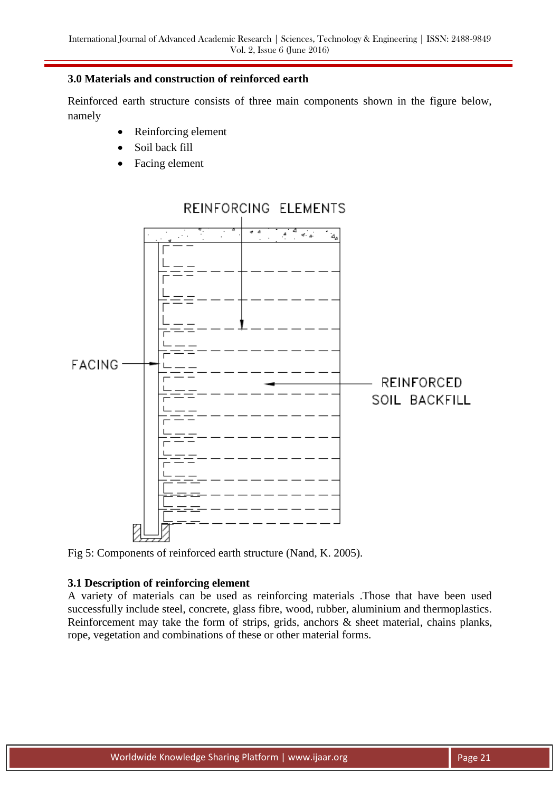### **3.0 Materials and construction of reinforced earth**

Reinforced earth structure consists of three main components shown in the figure below, namely

- Reinforcing element
- Soil back fill
- Facing element



# REINFORCING ELEMENTS

Fig 5: Components of reinforced earth structure (Nand, K. 2005).

## **3.1 Description of reinforcing element**

A variety of materials can be used as reinforcing materials .Those that have been used successfully include steel, concrete, glass fibre, wood, rubber, aluminium and thermoplastics. Reinforcement may take the form of strips, grids, anchors & sheet material, chains planks, rope, vegetation and combinations of these or other material forms.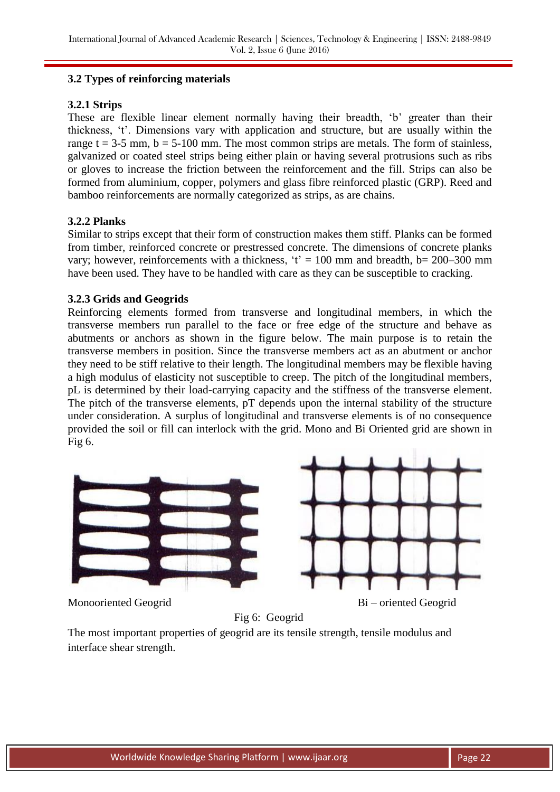## **3.2 Types of reinforcing materials**

## **3.2.1 Strips**

These are flexible linear element normally having their breadth, 'b' greater than their thickness, "t". Dimensions vary with application and structure, but are usually within the range  $t = 3-5$  mm,  $b = 5-100$  mm. The most common strips are metals. The form of stainless, galvanized or coated steel strips being either plain or having several protrusions such as ribs or gloves to increase the friction between the reinforcement and the fill. Strips can also be formed from aluminium, copper, polymers and glass fibre reinforced plastic (GRP). Reed and bamboo reinforcements are normally categorized as strips, as are chains.

## **3.2.2 Planks**

Similar to strips except that their form of construction makes them stiff. Planks can be formed from timber, reinforced concrete or prestressed concrete. The dimensions of concrete planks vary; however, reinforcements with a thickness,  $t' = 100$  mm and breadth, b= 200–300 mm have been used. They have to be handled with care as they can be susceptible to cracking.

## **3.2.3 Grids and Geogrids**

Reinforcing elements formed from transverse and longitudinal members, in which the transverse members run parallel to the face or free edge of the structure and behave as abutments or anchors as shown in the figure below. The main purpose is to retain the transverse members in position. Since the transverse members act as an abutment or anchor they need to be stiff relative to their length. The longitudinal members may be flexible having a high modulus of elasticity not susceptible to creep. The pitch of the longitudinal members, pL is determined by their load-carrying capacity and the stiffness of the transverse element. The pitch of the transverse elements, pT depends upon the internal stability of the structure under consideration. A surplus of longitudinal and transverse elements is of no consequence provided the soil or fill can interlock with the grid. Mono and Bi Oriented grid are shown in Fig 6.



Monooriented Geogrid Bi – oriented Geogrid

Fig 6: Geogrid

The most important properties of geogrid are its tensile strength, tensile modulus and interface shear strength.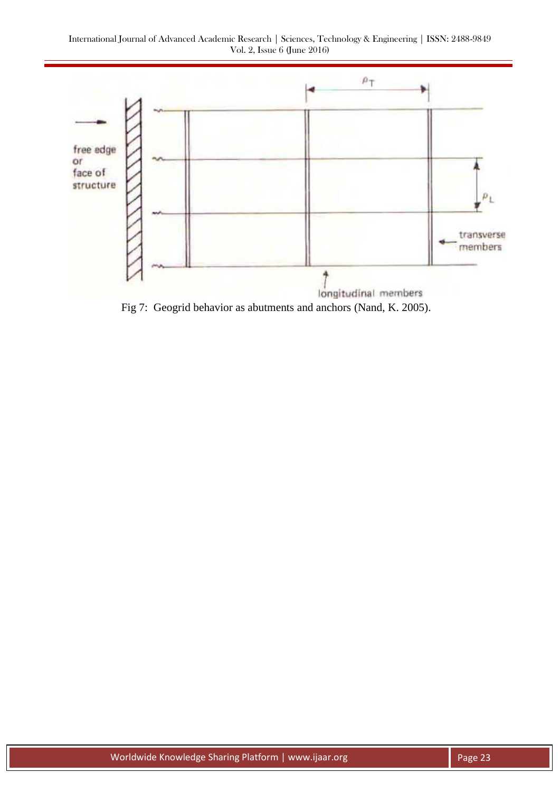

Fig 7: Geogrid behavior as abutments and anchors (Nand, K. 2005).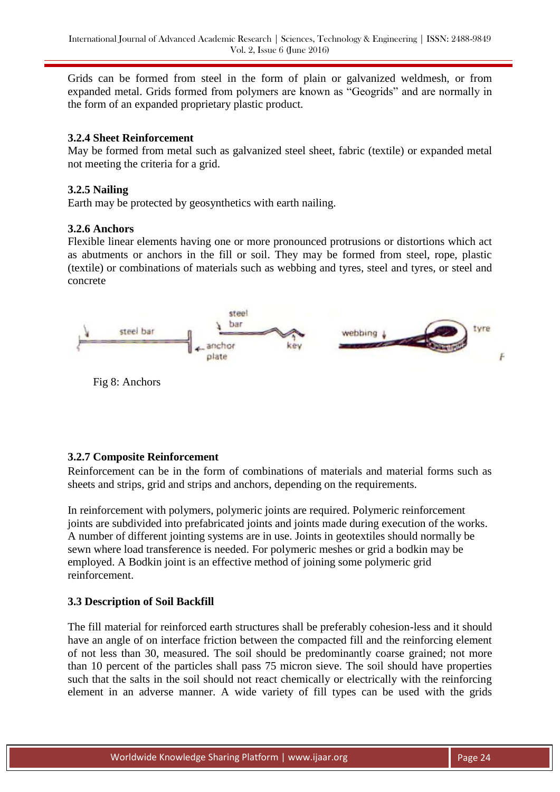Grids can be formed from steel in the form of plain or galvanized weldmesh, or from expanded metal. Grids formed from polymers are known as "Geogrids" and are normally in the form of an expanded proprietary plastic product.

## **3.2.4 Sheet Reinforcement**

May be formed from metal such as galvanized steel sheet, fabric (textile) or expanded metal not meeting the criteria for a grid.

## **3.2.5 Nailing**

Earth may be protected by geosynthetics with earth nailing.

## **3.2.6 Anchors**

Flexible linear elements having one or more pronounced protrusions or distortions which act as abutments or anchors in the fill or soil. They may be formed from steel, rope, plastic (textile) or combinations of materials such as webbing and tyres, steel and tyres, or steel and concrete



# **3.2.7 Composite Reinforcement**

Reinforcement can be in the form of combinations of materials and material forms such as sheets and strips, grid and strips and anchors, depending on the requirements.

In reinforcement with polymers, polymeric joints are required. Polymeric reinforcement joints are subdivided into prefabricated joints and joints made during execution of the works. A number of different jointing systems are in use. Joints in geotextiles should normally be sewn where load transference is needed. For polymeric meshes or grid a bodkin may be employed. A Bodkin joint is an effective method of joining some polymeric grid reinforcement.

### **3.3 Description of Soil Backfill**

The fill material for reinforced earth structures shall be preferably cohesion-less and it should have an angle of on interface friction between the compacted fill and the reinforcing element of not less than 30, measured. The soil should be predominantly coarse grained; not more than 10 percent of the particles shall pass 75 micron sieve. The soil should have properties such that the salts in the soil should not react chemically or electrically with the reinforcing element in an adverse manner. A wide variety of fill types can be used with the grids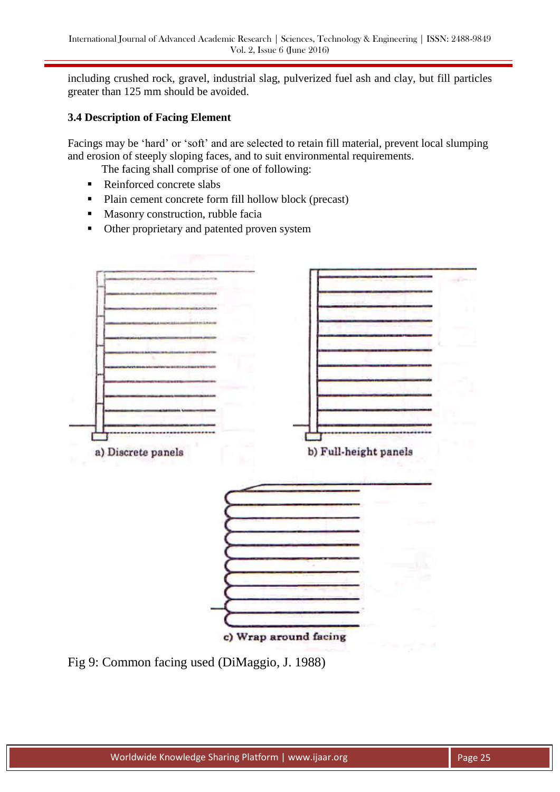including crushed rock, gravel, industrial slag, pulverized fuel ash and clay, but fill particles greater than 125 mm should be avoided.

# **3.4 Description of Facing Element**

Facings may be 'hard' or 'soft' and are selected to retain fill material, prevent local slumping and erosion of steeply sloping faces, and to suit environmental requirements.

The facing shall comprise of one of following:

- Reinforced concrete slabs
- Plain cement concrete form fill hollow block (precast)
- **Masonry construction, rubble facially**
- Other proprietary and patented proven system



Fig 9: Common facing used (DiMaggio, J. 1988)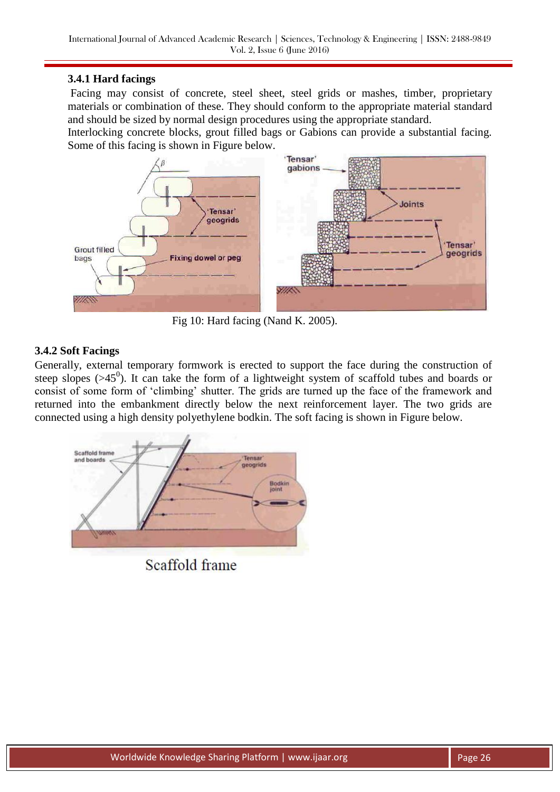## **3.4.1 Hard facings**

Facing may consist of concrete, steel sheet, steel grids or mashes, timber, proprietary materials or combination of these. They should conform to the appropriate material standard and should be sized by normal design procedures using the appropriate standard.

Interlocking concrete blocks, grout filled bags or Gabions can provide a substantial facing. Some of this facing is shown in Figure below.



Fig 10: Hard facing (Nand K. 2005).

## **3.4.2 Soft Facings**

Generally, external temporary formwork is erected to support the face during the construction of steep slopes  $($ >45<sup>0</sup> $)$ . It can take the form of a lightweight system of scaffold tubes and boards or consist of some form of "climbing" shutter. The grids are turned up the face of the framework and returned into the embankment directly below the next reinforcement layer. The two grids are connected using a high density polyethylene bodkin. The soft facing is shown in Figure below.



Scaffold frame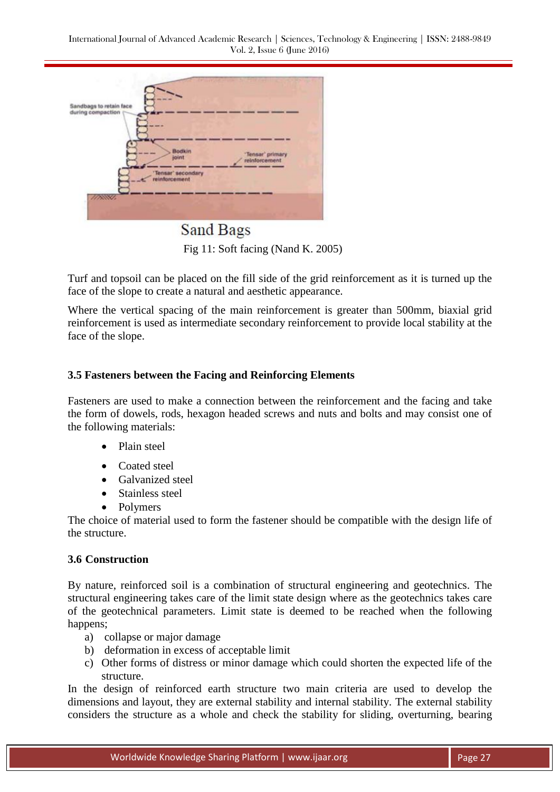| $-0.001$                |                             |
|-------------------------|-----------------------------|
| <b>Bodkin</b>           | 'Tensar' primary            |
|                         | reinforcement               |
| reinforcement           |                             |
|                         |                             |
|                         |                             |
| Sandbags to retain face | joint<br>'Tensar' secondary |

Sand Bags Fig 11: Soft facing (Nand K. 2005)

Turf and topsoil can be placed on the fill side of the grid reinforcement as it is turned up the face of the slope to create a natural and aesthetic appearance.

Where the vertical spacing of the main reinforcement is greater than 500mm, biaxial grid reinforcement is used as intermediate secondary reinforcement to provide local stability at the face of the slope.

## **3.5 Fasteners between the Facing and Reinforcing Elements**

Fasteners are used to make a connection between the reinforcement and the facing and take the form of dowels, rods, hexagon headed screws and nuts and bolts and may consist one of the following materials:

- Plain steel
- Coated steel
- Galvanized steel
- Stainless steel
- Polymers

The choice of material used to form the fastener should be compatible with the design life of the structure.

### **3.6 Construction**

By nature, reinforced soil is a combination of structural engineering and geotechnics. The structural engineering takes care of the limit state design where as the geotechnics takes care of the geotechnical parameters. Limit state is deemed to be reached when the following happens;

- a) collapse or major damage
- b) deformation in excess of acceptable limit
- c) Other forms of distress or minor damage which could shorten the expected life of the structure.

In the design of reinforced earth structure two main criteria are used to develop the dimensions and layout, they are external stability and internal stability. The external stability considers the structure as a whole and check the stability for sliding, overturning, bearing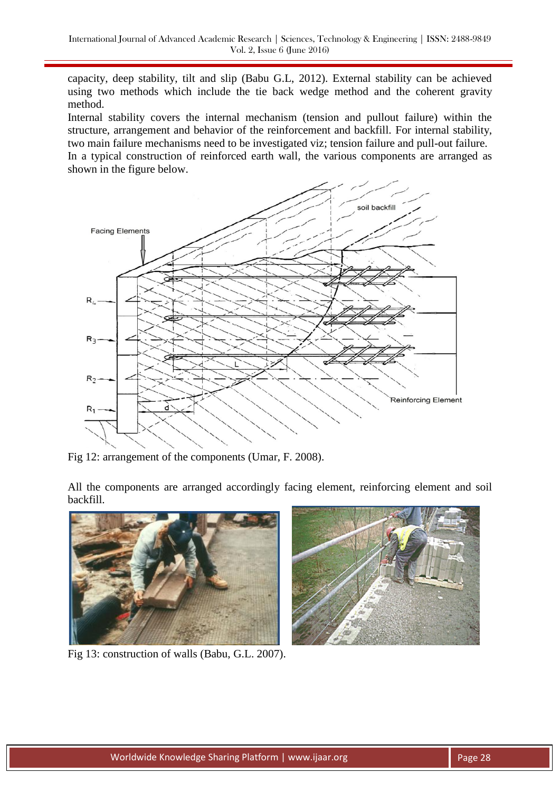capacity, deep stability, tilt and slip (Babu G.L, 2012). External stability can be achieved using two methods which include the tie back wedge method and the coherent gravity method.

Internal stability covers the internal mechanism (tension and pullout failure) within the structure, arrangement and behavior of the reinforcement and backfill. For internal stability, two main failure mechanisms need to be investigated viz; tension failure and pull-out failure. In a typical construction of reinforced earth wall, the various components are arranged as shown in the figure below.



Fig 12: arrangement of the components (Umar, F. 2008).

All the components are arranged accordingly facing element, reinforcing element and soil backfill.





Fig 13: construction of walls (Babu, G.L. 2007).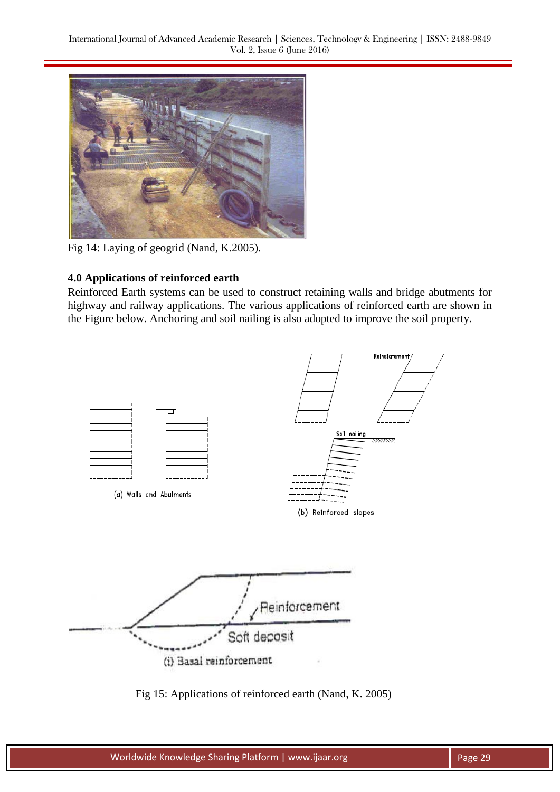

Fig 14: Laying of geogrid (Nand, K.2005).

# **4.0 Applications of reinforced earth**

Reinforced Earth systems can be used to construct retaining walls and bridge abutments for highway and railway applications. The various applications of reinforced earth are shown in the Figure below. Anchoring and soil nailing is also adopted to improve the soil property.



Fig 15: Applications of reinforced earth (Nand, K. 2005)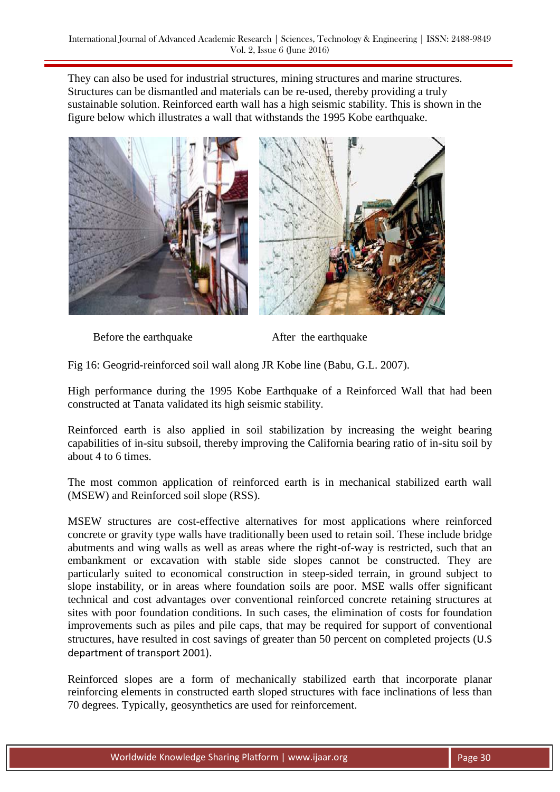They can also be used for industrial structures, mining structures and marine structures. Structures can be dismantled and materials can be re-used, thereby providing a truly sustainable solution. Reinforced earth wall has a high seismic stability. This is shown in the figure below which illustrates a wall that withstands the 1995 Kobe earthquake.



Before the earthquake After the earthquake

Fig 16: Geogrid-reinforced soil wall along JR Kobe line (Babu, G.L. 2007).

High performance during the 1995 Kobe Earthquake of a Reinforced Wall that had been constructed at Tanata validated its high seismic stability.

Reinforced earth is also applied in soil stabilization by increasing the weight bearing capabilities of in-situ subsoil, thereby improving the California bearing ratio of in-situ soil by about 4 to 6 times.

The most common application of reinforced earth is in mechanical stabilized earth wall (MSEW) and Reinforced soil slope (RSS).

MSEW structures are cost-effective alternatives for most applications where reinforced concrete or gravity type walls have traditionally been used to retain soil. These include bridge abutments and wing walls as well as areas where the right-of-way is restricted, such that an embankment or excavation with stable side slopes cannot be constructed. They are particularly suited to economical construction in steep-sided terrain, in ground subject to slope instability, or in areas where foundation soils are poor. MSE walls offer significant technical and cost advantages over conventional reinforced concrete retaining structures at sites with poor foundation conditions. In such cases, the elimination of costs for foundation improvements such as piles and pile caps, that may be required for support of conventional structures, have resulted in cost savings of greater than 50 percent on completed projects (U.S department of transport 2001).

Reinforced slopes are a form of mechanically stabilized earth that incorporate planar reinforcing elements in constructed earth sloped structures with face inclinations of less than 70 degrees. Typically, geosynthetics are used for reinforcement.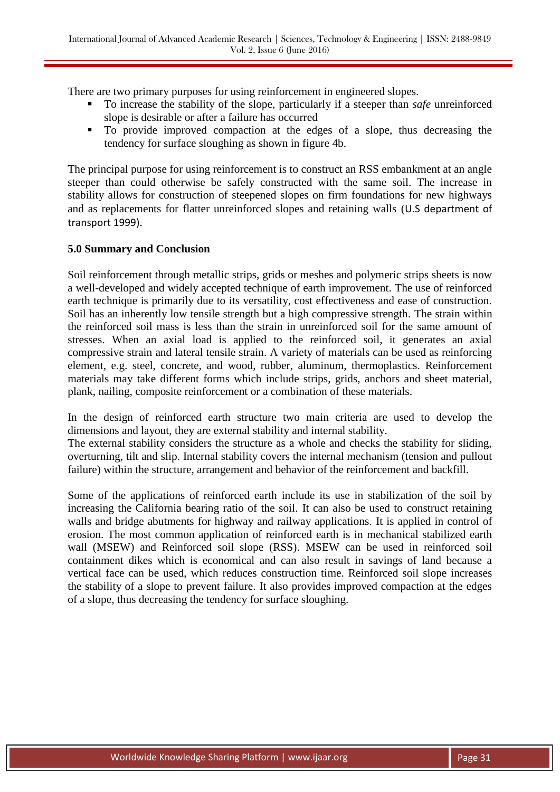There are two primary purposes for using reinforcement in engineered slopes.

- To increase the stability of the slope, particularly if a steeper than *safe* unreinforced slope is desirable or after a failure has occurred
- To provide improved compaction at the edges of a slope, thus decreasing the tendency for surface sloughing as shown in figure 4b.

The principal purpose for using reinforcement is to construct an RSS embankment at an angle steeper than could otherwise be safely constructed with the same soil. The increase in stability allows for construction of steepened slopes on firm foundations for new highways and as replacements for flatter unreinforced slopes and retaining walls (U.S department of transport 1999).

### **5.0 Summary and Conclusion**

Soil reinforcement through metallic strips, grids or meshes and polymeric strips sheets is now a well-developed and widely accepted technique of earth improvement. The use of reinforced earth technique is primarily due to its versatility, cost effectiveness and ease of construction. Soil has an inherently low tensile strength but a high compressive strength. The strain within the reinforced soil mass is less than the strain in unreinforced soil for the same amount of stresses. When an axial load is applied to the reinforced soil, it generates an axial compressive strain and lateral tensile strain. A variety of materials can be used as reinforcing element, e.g. steel, concrete, and wood, rubber, aluminum, thermoplastics. Reinforcement materials may take different forms which include strips, grids, anchors and sheet material, plank, nailing, composite reinforcement or a combination of these materials.

In the design of reinforced earth structure two main criteria are used to develop the dimensions and layout, they are external stability and internal stability.

The external stability considers the structure as a whole and checks the stability for sliding, overturning, tilt and slip. Internal stability covers the internal mechanism (tension and pullout failure) within the structure, arrangement and behavior of the reinforcement and backfill.

Some of the applications of reinforced earth include its use in stabilization of the soil by increasing the California bearing ratio of the soil. It can also be used to construct retaining walls and bridge abutments for highway and railway applications. It is applied in control of erosion. The most common application of reinforced earth is in mechanical stabilized earth wall (MSEW) and Reinforced soil slope (RSS). MSEW can be used in reinforced soil containment dikes which is economical and can also result in savings of land because a vertical face can be used, which reduces construction time. Reinforced soil slope increases the stability of a slope to prevent failure. It also provides improved compaction at the edges of a slope, thus decreasing the tendency for surface sloughing.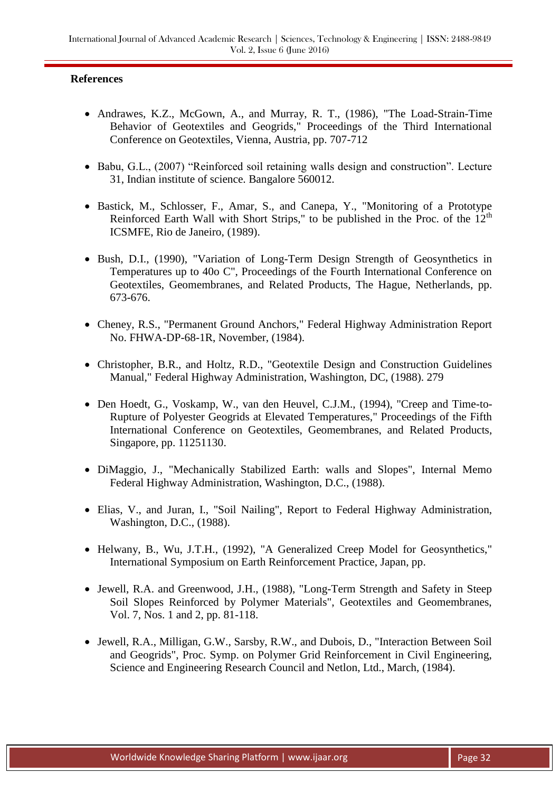## **References**

- Andrawes, K.Z., McGown, A., and Murray, R. T., (1986), "The Load-Strain-Time Behavior of Geotextiles and Geogrids," Proceedings of the Third International Conference on Geotextiles, Vienna, Austria, pp. 707-712
- Babu, G.L., (2007) "Reinforced soil retaining walls design and construction". Lecture 31, Indian institute of science. Bangalore 560012.
- Bastick, M., Schlosser, F., Amar, S., and Canepa, Y., "Monitoring of a Prototype Reinforced Earth Wall with Short Strips," to be published in the Proc. of the  $12<sup>th</sup>$ ICSMFE, Rio de Janeiro, (1989).
- Bush, D.I., (1990), "Variation of Long-Term Design Strength of Geosynthetics in Temperatures up to 40o C", Proceedings of the Fourth International Conference on Geotextiles, Geomembranes, and Related Products, The Hague, Netherlands, pp. 673-676.
- Cheney, R.S., "Permanent Ground Anchors," Federal Highway Administration Report No. FHWA-DP-68-1R, November, (1984).
- Christopher, B.R., and Holtz, R.D., "Geotextile Design and Construction Guidelines Manual," Federal Highway Administration, Washington, DC, (1988). 279
- Den Hoedt, G., Voskamp, W., van den Heuvel, C.J.M., (1994), "Creep and Time-to-Rupture of Polyester Geogrids at Elevated Temperatures," Proceedings of the Fifth International Conference on Geotextiles, Geomembranes, and Related Products, Singapore, pp. 11251130.
- DiMaggio, J., "Mechanically Stabilized Earth: walls and Slopes", Internal Memo Federal Highway Administration, Washington, D.C., (1988).
- Elias, V., and Juran, I., "Soil Nailing", Report to Federal Highway Administration, Washington, D.C., (1988).
- Helwany, B., Wu, J.T.H., (1992), "A Generalized Creep Model for Geosynthetics," International Symposium on Earth Reinforcement Practice, Japan, pp.
- Jewell, R.A. and Greenwood, J.H., (1988), "Long-Term Strength and Safety in Steep Soil Slopes Reinforced by Polymer Materials", Geotextiles and Geomembranes, Vol. 7, Nos. 1 and 2, pp. 81-118.
- Jewell, R.A., Milligan, G.W., Sarsby, R.W., and Dubois, D., "Interaction Between Soil and Geogrids", Proc. Symp. on Polymer Grid Reinforcement in Civil Engineering, Science and Engineering Research Council and Netlon, Ltd., March, (1984).